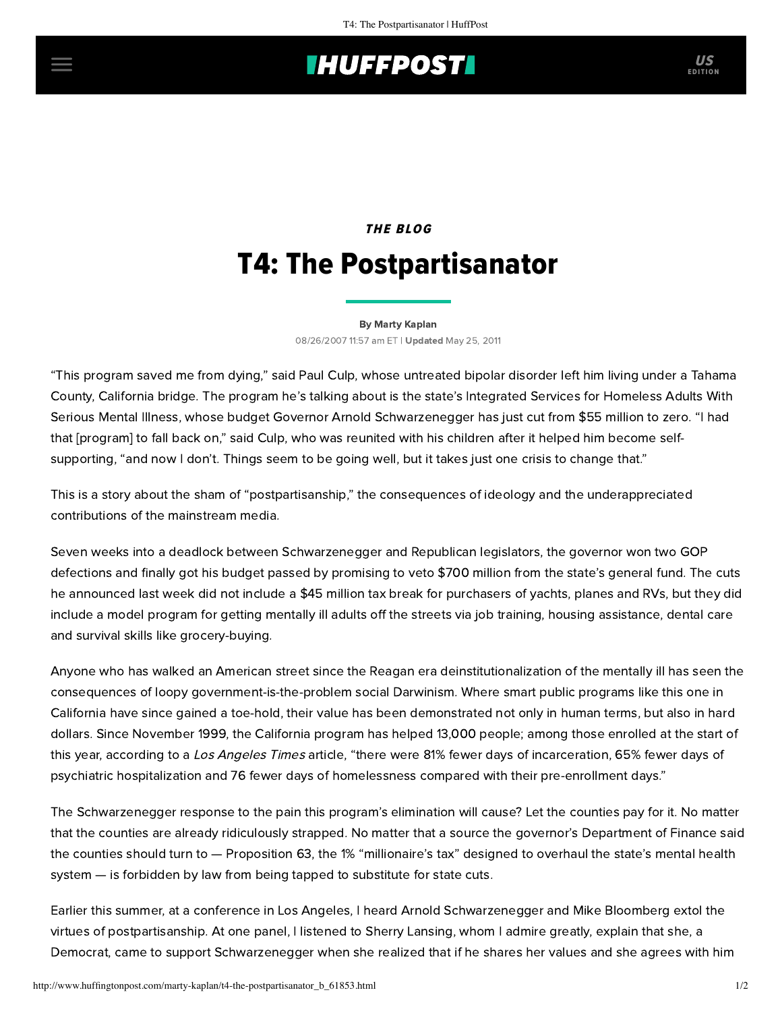# **THUFFPOST**

## THE BLOG T4: The Postpartisanator

#### [By Marty Kaplan](http://www.huffingtonpost.com/author/marty-kaplan)

08/26/2007 11:57 am ET | Updated May 25, 2011

"This program saved me from dying," said Paul Culp, whose untreated bipolar disorder left him living under a Tahama County, California bridge. The program he's talking about is the state's Integrated Services for Homeless Adults With Serious Mental Illness, whose budget Governor Arnold Schwarzenegger has just cut from \$55 million to zero. "I had that [program] to fall back on," said Culp, who was reunited with his children after it helped him become selfsupporting, "and now I don't. Things seem to be going well, but it takes just one crisis to change that."

This is a story about the sham of "postpartisanship," the consequences of ideology and the underappreciated contributions of the mainstream media.

Seven weeks into a deadlock between Schwarzenegger and Republican legislators, the governor won two GOP defections and finally got his budget passed by promising to veto \$700 million from the state's general fund. The cuts he announced last week did not include a \$45 million tax break for purchasers of yachts, planes and RVs, but they did include a model program for getting mentally ill adults off the streets via job training, housing assistance, dental care and survival skills like grocery-buying.

Anyone who has walked an American street since the Reagan era deinstitutionalization of the mentally ill has seen the consequences of loopy government-is-the-problem social Darwinism. Where smart public programs like this one in California have since gained a toe-hold, their value has been demonstrated not only in human terms, but also in hard dollars. Since November 1999, the California program has helped 13,000 people; among those enrolled at the start of this year, according to a [Los Angeles Times](http://www.latimes.com/news/printedition/california/la-me-mental25aug25,1,3516295.story?coll=la-headlines-pe-california) article, "there were 81% fewer days of incarceration, 65% fewer days of psychiatric hospitalization and 76 fewer days of homelessness compared with their pre-enrollment days."

The Schwarzenegger response to the pain this program's elimination will cause? Let the counties pay for it. No matter that the counties are already ridiculously strapped. No matter that a source the governor's Department of Finance said the counties should turn to — Proposition 63, the 1% "millionaire's tax" designed to overhaul the state's mental health system — is forbidden by law from being tapped to substitute for state cuts.

Earlier this summer, at a [conference](http://www.bridgingthepoliticaldivide.org/) in Los Angeles, I heard Arnold Schwarzenegger and Mike Bloomberg extol the virtues of postpartisanship. At one panel, I listened to Sherry Lansing, whom I admire greatly, explain that she, a Democrat, came to support Schwarzenegger when she realized that if he shares her values and she agrees with him